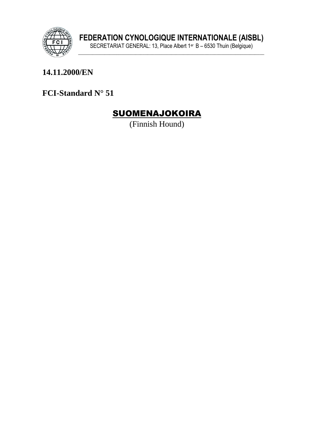

### 14.11.2000/EN

FCI-Standard N° 51

# **SUOMENAJOKOIRA**

(Finnish Hound)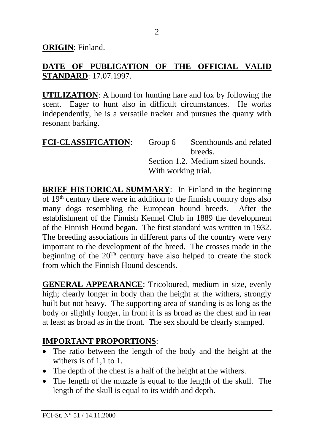**ORIGIN**: Finland.

### **DATE OF PUBLICATION OF THE OFFICIAL VALID STANDARD**: 17.07.1997.

**UTILIZATION**: A hound for hunting hare and fox by following the scent. Eager to hunt also in difficult circumstances. He works independently, he is a versatile tracker and pursues the quarry with resonant barking.

| <b>FCI-CLASSIFICATION:</b> | Group 6             | Scenthounds and related           |
|----------------------------|---------------------|-----------------------------------|
|                            |                     | breeds.                           |
|                            |                     | Section 1.2. Medium sized hounds. |
|                            | With working trial. |                                   |

**BRIEF HISTORICAL SUMMARY:** In Finland in the beginning of  $19<sup>th</sup>$  century there were in addition to the finnish country dogs also many dogs resembling the European hound breeds. After the establishment of the Finnish Kennel Club in 1889 the development of the Finnish Hound began. The first standard was written in 1932. The breeding associations in different parts of the country were very important to the development of the breed. The crosses made in the beginning of the  $20^{Th}$  century have also helped to create the stock from which the Finnish Hound descends.

**GENERAL APPEARANCE**: Tricoloured, medium in size, evenly high; clearly longer in body than the height at the withers, strongly built but not heavy. The supporting area of standing is as long as the body or slightly longer, in front it is as broad as the chest and in rear at least as broad as in the front. The sex should be clearly stamped.

### **IMPORTANT PROPORTIONS**:

- The ratio between the length of the body and the height at the withers is of 1,1 to 1.
- The depth of the chest is a half of the height at the withers.
- The length of the muzzle is equal to the length of the skull. The length of the skull is equal to its width and depth.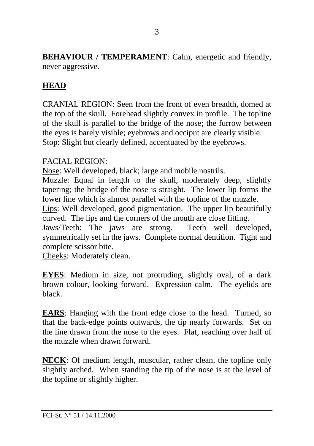**BEHAVIOUR / TEMPERAMENT:** Calm, energetic and friendly, never aggressive.

## **HEAD**

CRANIAL REGION: Seen from the front of even breadth, domed at the top of the skull. Forehead slightly convex in profile. The topline of the skull is parallel to the bridge of the nose; the furrow between the eyes is barely visible; eyebrows and occiput are clearly visible. Stop: Slight but clearly defined, accentuated by the eyebrows.

#### FACIAL REGION:

Nose: Well developed, black; large and mobile nostrils.

Muzzle: Equal in length to the skull, moderately deep, slightly tapering; the bridge of the nose is straight. The lower lip forms the lower line which is almost parallel with the topline of the muzzle.

Lips: Well developed, good pigmentation. The upper lip beautifully curved. The lips and the corners of the mouth are close fitting.

Jaws/Teeth: The jaws are strong. Teeth well developed, symmetrically set in the jaws. Complete normal dentition. Tight and complete scissor bite.

Cheeks: Moderately clean.

**EYES**: Medium in size, not protruding, slightly oval, of a dark brown colour, looking forward. Expression calm. The eyelids are black.

**EARS**: Hanging with the front edge close to the head. Turned, so that the back-edge points outwards, the tip nearly forwards. Set on the line drawn from the nose to the eyes. Flat, reaching over half of the muzzle when drawn forward.

**NECK**: Of medium length, muscular, rather clean, the topline only slightly arched. When standing the tip of the nose is at the level of the topline or slightly higher.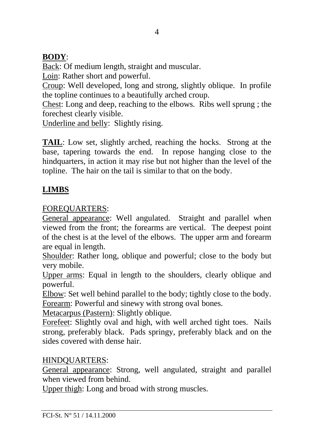## **BODY**:

Back: Of medium length, straight and muscular.

Loin: Rather short and powerful.

Croup: Well developed, long and strong, slightly oblique. In profile the topline continues to a beautifully arched croup.

Chest: Long and deep, reaching to the elbows. Ribs well sprung ; the forechest clearly visible.

Underline and belly: Slightly rising.

**TAIL**: Low set, slightly arched, reaching the hocks. Strong at the base, tapering towards the end. In repose hanging close to the hindquarters, in action it may rise but not higher than the level of the topline. The hair on the tail is similar to that on the body.

# **LIMBS**

### FOREQUARTERS:

General appearance: Well angulated. Straight and parallel when viewed from the front; the forearms are vertical. The deepest point of the chest is at the level of the elbows. The upper arm and forearm are equal in length.

Shoulder: Rather long, oblique and powerful; close to the body but very mobile.

Upper arms: Equal in length to the shoulders, clearly oblique and powerful.

Elbow: Set well behind parallel to the body; tightly close to the body. Forearm: Powerful and sinewy with strong oval bones.

Metacarpus (Pastern): Slightly oblique.

Forefeet: Slightly oval and high, with well arched tight toes. Nails strong, preferably black. Pads springy, preferably black and on the sides covered with dense hair.

### HINDQUARTERS:

General appearance: Strong, well angulated, straight and parallel when viewed from behind.

Upper thigh: Long and broad with strong muscles.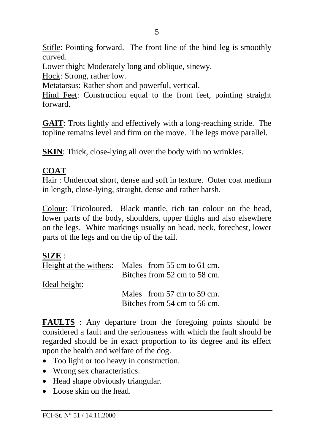Stifle: Pointing forward. The front line of the hind leg is smoothly curved.

Lower thigh: Moderately long and oblique, sinewy.

Hock: Strong, rather low.

Metatarsus: Rather short and powerful, vertical.

Hind Feet: Construction equal to the front feet, pointing straight forward.

**GAIT**: Trots lightly and effectively with a long-reaching stride. The topline remains level and firm on the move. The legs move parallel.

**SKIN**: Thick, close-lying all over the body with no wrinkles.

### **COAT**

Hair : Undercoat short, dense and soft in texture. Outer coat medium in length, close-lying, straight, dense and rather harsh.

Colour: Tricoloured. Black mantle, rich tan colour on the head, lower parts of the body, shoulders, upper thighs and also elsewhere on the legs. White markings usually on head, neck, forechest, lower parts of the legs and on the tip of the tail.

#### **SIZE** :

| Height at the withers: | Males from 55 cm to 61 cm.   |
|------------------------|------------------------------|
|                        | Bitches from 52 cm to 58 cm. |
| Ideal height:          |                              |
|                        | Males from 57 cm to 59 cm.   |
|                        | Bitches from 54 cm to 56 cm. |

**FAULTS** : Any departure from the foregoing points should be considered a fault and the seriousness with which the fault should be regarded should be in exact proportion to its degree and its effect upon the health and welfare of the dog.

- Too light or too heavy in construction.
- Wrong sex characteristics.
- Head shape obviously triangular.
- Loose skin on the head.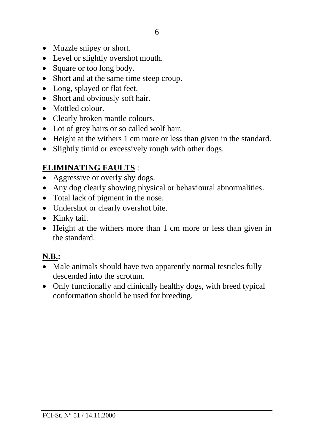- Muzzle snipey or short.
- Level or slightly overshot mouth.
- Square or too long body.
- Short and at the same time steep croup.
- Long, splayed or flat feet.
- Short and obviously soft hair.
- Mottled colour.
- Clearly broken mantle colours.
- Lot of grey hairs or so called wolf hair.
- Height at the withers 1 cm more or less than given in the standard.
- Slightly timid or excessively rough with other dogs.

# **ELIMINATING FAULTS** :

- Aggressive or overly shy dogs.
- Any dog clearly showing physical or behavioural abnormalities.
- Total lack of pigment in the nose.
- Undershot or clearly overshot bite.
- Kinky tail.
- Height at the withers more than 1 cm more or less than given in the standard.

# **N.B.:**

- Male animals should have two apparently normal testicles fully descended into the scrotum.
- Only functionally and clinically healthy dogs, with breed typical conformation should be used for breeding.